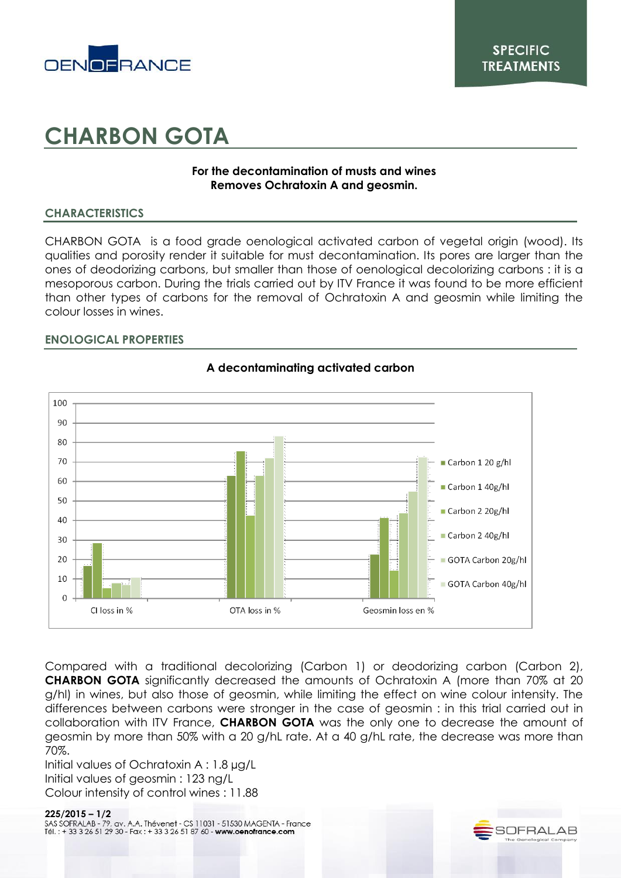

# **CHARBON GOTA**

## **For the decontamination of musts and wines Removes Ochratoxin A and geosmin.**

## **CHARACTERISTICS**

CHARBON GOTA is a food grade oenological activated carbon of vegetal origin (wood). Its qualities and porosity render it suitable for must decontamination. Its pores are larger than the ones of deodorizing carbons, but smaller than those of oenological decolorizing carbons : it is a mesoporous carbon. During the trials carried out by ITV France it was found to be more efficient than other types of carbons for the removal of Ochratoxin A and geosmin while limiting the colour losses in wines.

## **ENOLOGICAL PROPERTIES**



## **A decontaminating activated carbon**

Compared with a traditional decolorizing (Carbon 1) or deodorizing carbon (Carbon 2), **CHARBON GOTA** significantly decreased the amounts of Ochratoxin A (more than 70% at 20 g/hl) in wines, but also those of geosmin, while limiting the effect on wine colour intensity. The differences between carbons were stronger in the case of geosmin : in this trial carried out in collaboration with ITV France, **CHARBON GOTA** was the only one to decrease the amount of geosmin by more than 50% with a 20 g/hL rate. At a 40 g/hL rate, the decrease was more than 70%.

Initial values of Ochratoxin A : 1.8 µg/L Initial values of geosmin : 123 ng/L Colour intensity of control wines : 11.88

**225/2015 – 1/2**Tél.: +33 3 26 51 29 30 - Fax: +33 3 26 51 87 60 - www.oenofrance.com